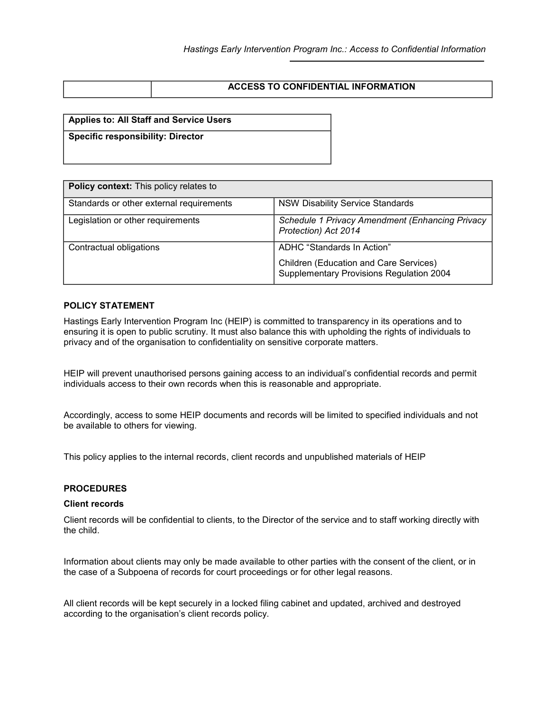| <b>ACCESS TO CONFIDENTIAL INFORMATION</b> |
|-------------------------------------------|
|                                           |

# **Applies to: All Staff and Service Users**

**Specific responsibility: Director**

| <b>Policy context:</b> This policy relates to |                                                                                           |  |  |  |
|-----------------------------------------------|-------------------------------------------------------------------------------------------|--|--|--|
|                                               |                                                                                           |  |  |  |
| Standards or other external requirements      | <b>NSW Disability Service Standards</b>                                                   |  |  |  |
| Legislation or other requirements             | Schedule 1 Privacy Amendment (Enhancing Privacy<br>Protection) Act 2014                   |  |  |  |
| Contractual obligations                       | ADHC "Standards In Action"                                                                |  |  |  |
|                                               | <b>Children (Education and Care Services)</b><br>Supplementary Provisions Regulation 2004 |  |  |  |

#### **POLICY STATEMENT**

Hastings Early Intervention Program Inc (HEIP) is committed to transparency in its operations and to ensuring it is open to public scrutiny. It must also balance this with upholding the rights of individuals to privacy and of the organisation to confidentiality on sensitive corporate matters.

HEIP will prevent unauthorised persons gaining access to an individual's confidential records and permit individuals access to their own records when this is reasonable and appropriate.

Accordingly, access to some HEIP documents and records will be limited to specified individuals and not be available to others for viewing.

This policy applies to the internal records, client records and unpublished materials of HEIP

# **PROCEDURES**

#### **Client records**

Client records will be confidential to clients, to the Director of the service and to staff working directly with the child.

Information about clients may only be made available to other parties with the consent of the client, or in the case of a Subpoena of records for court proceedings or for other legal reasons.

All client records will be kept securely in a locked filing cabinet and updated, archived and destroyed according to the organisation's client records policy.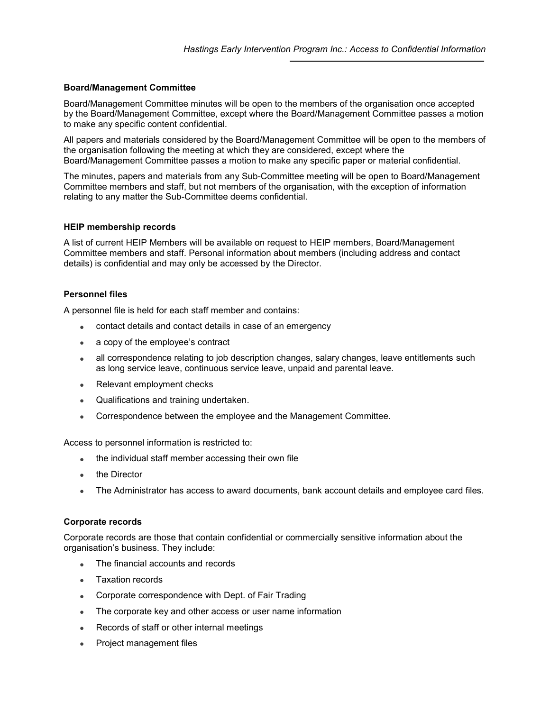# **Board/Management Committee**

Board/Management Committee minutes will be open to the members of the organisation once accepted by the Board/Management Committee, except where the Board/Management Committee passes a motion to make any specific content confidential.

All papers and materials considered by the Board/Management Committee will be open to the members of the organisation following the meeting at which they are considered, except where the Board/Management Committee passes a motion to make any specific paper or material confidential.

The minutes, papers and materials from any Sub-Committee meeting will be open to Board/Management Committee members and staff, but not members of the organisation, with the exception of information relating to any matter the Sub-Committee deems confidential.

# **HEIP membership records**

A list of current HEIP Members will be available on request to HEIP members, Board/Management Committee members and staff. Personal information about members (including address and contact details) is confidential and may only be accessed by the Director.

# **Personnel files**

A personnel file is held for each staff member and contains:

- contact details and contact details in case of an emergency
- a copy of the employee's contract
- all correspondence relating to job description changes, salary changes, leave entitlements such as long service leave, continuous service leave, unpaid and parental leave.
- Relevant employment checks
- Qualifications and training undertaken.
- Correspondence between the employee and the Management Committee.

Access to personnel information is restricted to:

- the individual staff member accessing their own file
- the Director
- The Administrator has access to award documents, bank account details and employee card files.

### **Corporate records**

Corporate records are those that contain confidential or commercially sensitive information about the organisation's business. They include:

- The financial accounts and records
- Taxation records
- Corporate correspondence with Dept. of Fair Trading
- The corporate key and other access or user name information
- Records of staff or other internal meetings
- Project management files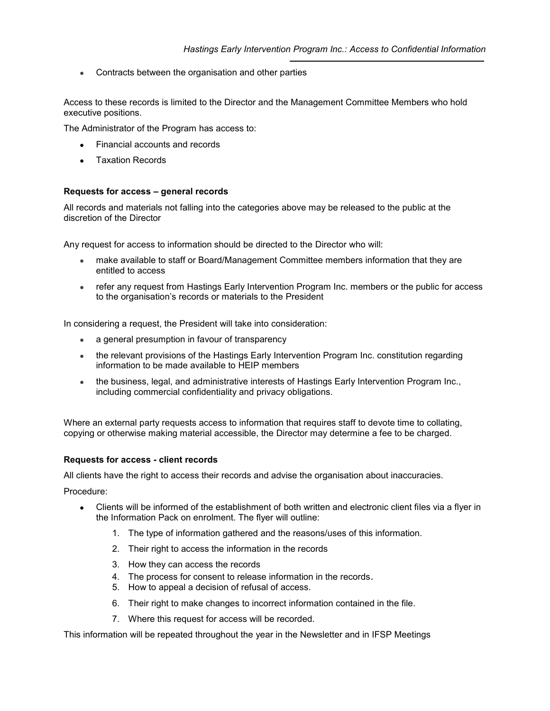Contracts between the organisation and other parties

Access to these records is limited to the Director and the Management Committee Members who hold executive positions.

The Administrator of the Program has access to:

- Financial accounts and records
- **Taxation Records**

#### **Requests for access – general records**

All records and materials not falling into the categories above may be released to the public at the discretion of the Director

Any request for access to information should be directed to the Director who will:

- make available to staff or Board/Management Committee members information that they are entitled to access
- x refer any request from Hastings Early Intervention Program Inc. members or the public for access to the organisation's records or materials to the President

In considering a request, the President will take into consideration:

- a general presumption in favour of transparency
- the relevant provisions of the Hastings Early Intervention Program Inc. constitution regarding information to be made available to HEIP members
- the business, legal, and administrative interests of Hastings Early Intervention Program Inc., including commercial confidentiality and privacy obligations.

Where an external party requests access to information that requires staff to devote time to collating, copying or otherwise making material accessible, the Director may determine a fee to be charged.

#### **Requests for access - client records**

All clients have the right to access their records and advise the organisation about inaccuracies.

Procedure:

- Clients will be informed of the establishment of both written and electronic client files via a flyer in the Information Pack on enrolment. The flyer will outline:
	- 1. The type of information gathered and the reasons/uses of this information.
	- 2. Their right to access the information in the records
	- 3. How they can access the records
	- 4. The process for consent to release information in the records.
	- 5. How to appeal a decision of refusal of access.
	- 6. Their right to make changes to incorrect information contained in the file.
	- 7. Where this request for access will be recorded.

This information will be repeated throughout the year in the Newsletter and in IFSP Meetings